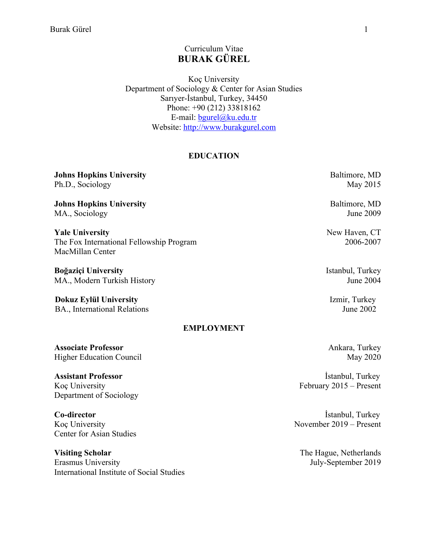# Curriculum Vitae **BURAK GÜREL**

Koç University Department of Sociology & Center for Asian Studies Sarıyer-İstanbul, Turkey, 34450 Phone: +90 (212) 33818162 E-mail: bgurel@ku.edu.tr Website: http://www.burakgurel.com

#### **EDUCATION**

| Johns Hopkins University                 | Baltimore, MD    |
|------------------------------------------|------------------|
| Ph.D., Sociology                         | May 2015         |
| <b>Johns Hopkins University</b>          | Baltimore, MD    |
| MA., Sociology                           | June 2009        |
| <b>Yale University</b>                   | New Haven, CT    |
| The Fox International Fellowship Program | 2006-2007        |
| MacMillan Center                         |                  |
| Boğaziçi University                      | Istanbul, Turkey |
| MA., Modern Turkish History              | June 2004        |
| <b>Dokuz Eylül University</b>            | Izmir, Turkey    |
| BA., International Relations             | June 2002        |
| <b>EMPLOYMENT</b>                        |                  |
| <b>Associate Professor</b>               | Ankara, Turkey   |
| <b>Higher Education Council</b>          | May 2020         |
| <b>Assistant Professor</b>               | Istanbul, Turkey |

Koç University Department of Sociology

**Co-director** Koç University Center for Asian Studies

**Visiting Scholar** Erasmus University International Institute of Social Studies

 İstanbul, Turkey November 2019 – Present

February 2015 – Present

The Hague, Netherlands July-September 2019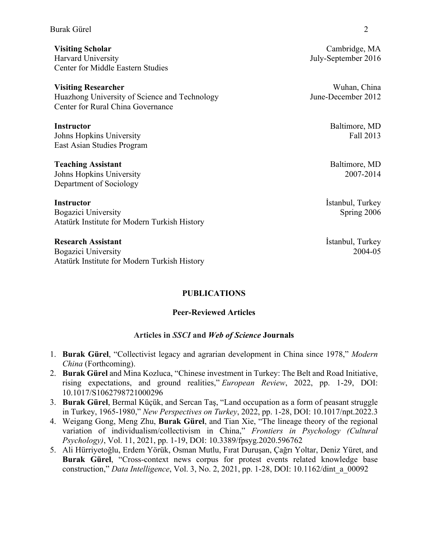#### Burak Gürel 2022 - 2022 - 2022 - 2022 - 2022 - 2022 - 2023 - 2023 - 2023 - 2023 - 2023 - 2023 - 2023 - 2023 - 2023 - 2023 - 2023 - 2023 - 2023 - 2023 - 2023 - 2023 - 2023 - 2023 - 2023 - 2023 - 2023 - 2023 - 2023 - 2023 -

**Visiting Scholar** Harvard University Center for Middle Eastern Studies

**Visiting Researcher**  Huazhong University of Science and Technology Center for Rural China Governance

**Instructor**  Johns Hopkins University East Asian Studies Program

**Teaching Assistant**  Johns Hopkins University Department of Sociology

**Instructor** Bogazici University Atatürk Institute for Modern Turkish History

**Research Assistant** Bogazici University Atatürk Institute for Modern Turkish History

#### **PUBLICATIONS**

#### **Peer-Reviewed Articles**

#### **Articles in** *SSCI* **and** *Web of Science* **Journals**

- 1. **Burak Gürel**, "Collectivist legacy and agrarian development in China since 1978," *Modern China* (Forthcoming).
- 2. **Burak Gürel** and Mina Kozluca, "Chinese investment in Turkey: The Belt and Road Initiative, rising expectations, and ground realities," *European Review*, 2022, pp. 1-29, DOI: 10.1017/S1062798721000296
- 3. **Burak Gürel**, Bermal Küçük, and Sercan Taş, "Land occupation as a form of peasant struggle in Turkey, 1965-1980," *New Perspectives on Turkey*, 2022, pp. 1-28, DOI: 10.1017/npt.2022.3
- 4. Weigang Gong, Meng Zhu, **Burak Gürel**, and Tian Xie, "The lineage theory of the regional variation of individualism/collectivism in China," *Frontiers in Psychology (Cultural Psychology)*, Vol. 11, 2021, pp. 1-19, DOI: 10.3389/fpsyg.2020.596762
- 5. Ali Hürriyetoğlu, Erdem Yörük, Osman Mutlu, Fırat Duruşan, Çağrı Yoltar, Deniz Yüret, and **Burak Gürel**, "Cross-context news corpus for protest events related knowledge base construction," *Data Intelligence*, Vol. 3, No. 2, 2021, pp. 1-28, DOI: 10.1162/dint\_a\_00092

Cambridge, MA July-September 2016

Wuhan, China June-December 2012

> Baltimore, MD Fall 2013

Baltimore, MD 2007-2014

İstanbul, Turkey Spring 2006

İstanbul, Turkey 2004-05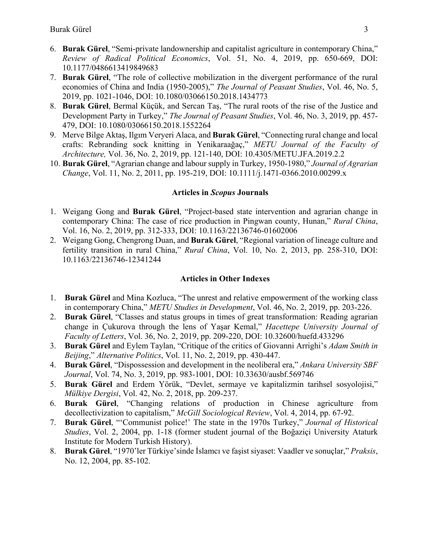- 6. **Burak Gürel**, "Semi-private landownership and capitalist agriculture in contemporary China," *Review of Radical Political Economics*, Vol. 51, No. 4, 2019, pp. 650-669, DOI: 10.1177/0486613419849683
- 7. **Burak Gürel**, "The role of collective mobilization in the divergent performance of the rural economies of China and India (1950-2005)," *The Journal of Peasant Studies*, Vol. 46, No. 5, 2019, pp. 1021-1046, DOI: 10.1080/03066150.2018.1434773
- 8. **Burak Gürel**, Bermal Küçük, and Sercan Taş, "The rural roots of the rise of the Justice and Development Party in Turkey," *The Journal of Peasant Studies*, Vol. 46, No. 3, 2019, pp. 457- 479, DOI: 10.1080/03066150.2018.1552264
- 9. Merve Bilge Aktaş, Ilgım Veryeri Alaca, and **Burak Gürel**, "Connecting rural change and local crafts: Rebranding sock knitting in Yenikaraağaç," *METU Journal of the Faculty of Architecture,* Vol. 36, No. 2, 2019, pp. 121-140, DOI: 10.4305/METU.JFA.2019.2.2
- 10. **Burak Gürel**, "Agrarian change and labour supply in Turkey, 1950-1980," *Journal of Agrarian Change*, Vol. 11, No. 2, 2011, pp. 195-219, DOI: 10.1111/j.1471-0366.2010.00299.x

#### **Articles in** *Scopus* **Journals**

- 1. Weigang Gong and **Burak Gürel**, "Project-based state intervention and agrarian change in contemporary China: The case of rice production in Pingwan county, Hunan," *Rural China*, Vol. 16, No. 2, 2019, pp. 312-333, DOI: 10.1163/22136746-01602006
- 2. Weigang Gong, Chengrong Duan, and **Burak Gürel**, "Regional variation of lineage culture and fertility transition in rural China," *Rural China*, Vol. 10, No. 2, 2013, pp. 258-310, DOI: 10.1163/22136746-12341244

#### **Articles in Other Indexes**

- 1. **Burak Gürel** and Mina Kozluca, "The unrest and relative empowerment of the working class in contemporary China," *METU Studies in Development*, Vol. 46, No. 2, 2019, pp. 203-226.
- 2. **Burak Gürel**, "Classes and status groups in times of great transformation: Reading agrarian change in Çukurova through the lens of Yaşar Kemal," *Hacettepe University Journal of Faculty of Letters*, Vol. 36, No. 2, 2019, pp. 209-220, DOI: 10.32600/huefd.433296
- 3. **Burak Gürel** and Eylem Taylan, "Critique of the critics of Giovanni Arrighi's *Adam Smith in Beijing*," *Alternative Politics*, Vol. 11, No. 2, 2019, pp. 430-447.
- 4. **Burak Gürel**, "Dispossession and development in the neoliberal era," *Ankara University SBF Journal*, Vol. 74, No. 3, 2019, pp. 983-1001, DOI: 10.33630/ausbf.569746
- 5. **Burak Gürel** and Erdem Yörük, "Devlet, sermaye ve kapitalizmin tarihsel sosyolojisi," *Mülkiye Dergisi*, Vol. 42, No. 2, 2018, pp. 209-237.
- 6. **Burak Gürel**, "Changing relations of production in Chinese agriculture from decollectivization to capitalism," *McGill Sociological Review*, Vol. 4, 2014, pp. 67-92.
- 7. **Burak Gürel**, "'Communist police!' The state in the 1970s Turkey," *Journal of Historical Studies*, Vol. 2, 2004, pp. 1-18 (former student journal of the Boğaziçi University Ataturk Institute for Modern Turkish History).
- 8. **Burak Gürel**, "1970'ler Türkiye'sinde İslamcı ve faşist siyaset: Vaadler ve sonuçlar," *Praksis*, No. 12, 2004, pp. 85-102.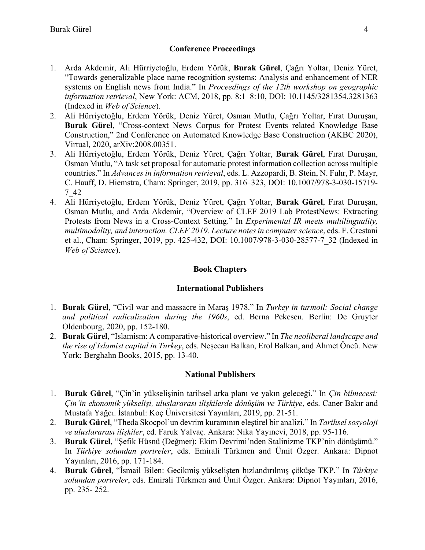# **Conference Proceedings**

- 1. Arda Akdemir, Ali Hürriyetoğlu, Erdem Yörük, **Burak Gürel**, Çağrı Yoltar, Deniz Yüret, "Towards generalizable place name recognition systems: Analysis and enhancement of NER systems on English news from India." In *Proceedings of the 12th workshop on geographic information retrieval*, New York: ACM, 2018, pp. 8:1–8:10, DOI: 10.1145/3281354.3281363 (Indexed in *Web of Science*).
- 2. Ali Hürriyetoğlu, Erdem Yörük, Deniz Yüret, Osman Mutlu, Çağrı Yoltar, Fırat Duruşan, **Burak Gürel**, "Cross-context News Corpus for Protest Events related Knowledge Base Construction," 2nd Conference on Automated Knowledge Base Construction (AKBC 2020), Virtual, 2020, arXiv:2008.00351.
- 3. Ali Hürriyetoğlu, Erdem Yörük, Deniz Yüret, Çağrı Yoltar, **Burak Gürel**, Fırat Duruşan, Osman Mutlu, "A task set proposal for automatic protest information collection across multiple countries." In *Advances in information retrieval*, eds. L. Azzopardi, B. Stein, N. Fuhr, P. Mayr, C. Hauff, D. Hiemstra, Cham: Springer, 2019, pp. 316–323, DOI: 10.1007/978-3-030-15719- 7\_42
- 4. Ali Hürriyetoğlu, Erdem Yörük, Deniz Yüret, Çağrı Yoltar, **Burak Gürel**, Fırat Duruşan, Osman Mutlu, and Arda Akdemir, "Overview of CLEF 2019 Lab ProtestNews: Extracting Protests from News in a Cross-Context Setting." In *Experimental IR meets multilinguality, multimodality, and interaction. CLEF 2019. Lecture notes in computer science*, eds. F. Crestani et al., Cham: Springer, 2019, pp. 425-432, DOI: 10.1007/978-3-030-28577-7\_32 (Indexed in *Web of Science*).

# **Book Chapters**

# **International Publishers**

- 1. **Burak Gürel**, "Civil war and massacre in Maraş 1978." In *Turkey in turmoil: Social change and political radicalization during the 1960s*, ed. Berna Pekesen. Berlin: De Gruyter Oldenbourg, 2020, pp. 152-180.
- 2. **Burak Gürel**, "Islamism: A comparative-historical overview." In *The neoliberal landscape and the rise of Islamist capital in Turkey*, eds. Neşecan Balkan, Erol Balkan, and Ahmet Öncü. New York: Berghahn Books, 2015, pp. 13-40.

# **National Publishers**

- 1. **Burak Gürel**, "Çin'in yükselişinin tarihsel arka planı ve yakın geleceği." In *Çin bilmecesi: Çin'in ekonomik yükselişi, uluslararası ilişkilerde dönüşüm ve Türkiye*, eds. Caner Bakır and Mustafa Yağcı. İstanbul: Koç Üniversitesi Yayınları, 2019, pp. 21-51.
- 2. **Burak Gürel**, "Theda Skocpol'un devrim kuramının eleştirel bir analizi." In *Tarihsel sosyoloji ve uluslararası ilişkiler*, ed. Faruk Yalvaç. Ankara: Nika Yayınevi, 2018, pp. 95-116.
- 3. **Burak Gürel**, "Şefik Hüsnü (Değmer): Ekim Devrimi'nden Stalinizme TKP'nin dönüşümü." In *Türkiye solundan portreler*, eds. Emirali Türkmen and Ümit Özger. Ankara: Dipnot Yayınları, 2016, pp. 171-184.
- 4. **Burak Gürel**, "İsmail Bilen: Gecikmiş yükselişten hızlandırılmış çöküşe TKP." In *Türkiye solundan portreler*, eds. Emirali Türkmen and Ümit Özger. Ankara: Dipnot Yayınları, 2016, pp. 235- 252.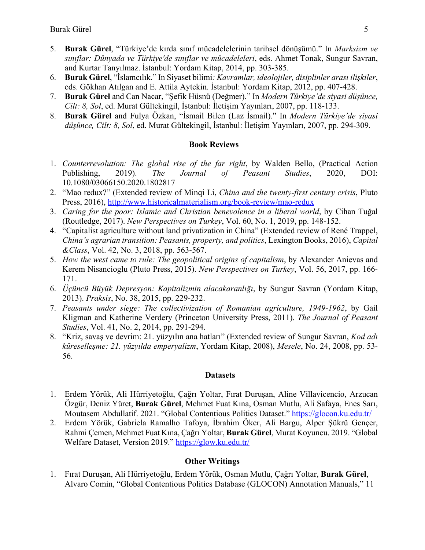- 5. **Burak Gürel**, "Türkiye'de kırda sınıf mücadelelerinin tarihsel dönüşümü." In *Marksizm ve sınıflar: Dünyada ve Türkiye'de sınıflar ve mücadeleleri*, eds. Ahmet Tonak, Sungur Savran, and Kurtar Tanyılmaz. İstanbul: Yordam Kitap, 2014, pp. 303-385.
- 6. **Burak Gürel**, "İslamcılık." In Siyaset bilimi*: Kavramlar, ideolojiler, disiplinler arası ilişkiler*, eds. Gökhan Atılgan and E. Attila Aytekin. İstanbul: Yordam Kitap, 2012, pp. 407-428.
- 7. **Burak Gürel** and Can Nacar, "Şefik Hüsnü (Değmer)." In *Modern Türkiye'de siyasi düşünce, Cilt: 8, Sol*, ed. Murat Gültekingil, İstanbul: İletişim Yayınları, 2007, pp. 118-133.
- 8. **Burak Gürel** and Fulya Özkan, "İsmail Bilen (Laz İsmail)." In *Modern Türkiye'de siyasi düşünce, Cilt: 8, Sol*, ed. Murat Gültekingil, İstanbul: İletişim Yayınları, 2007, pp. 294-309.

#### **Book Reviews**

- 1. *Counterrevolution: The global rise of the far right*, by Walden Bello, (Practical Action Publishing, 2019). *The Journal of Peasant Studies*, 2020, DOI: 10.1080/03066150.2020.1802817
- 2. "Mao redux?" (Extended review of Minqi Li, *China and the twenty-first century crisis*, Pluto Press, 2016), http://www.historicalmaterialism.org/book-review/mao-redux
- 3. *Caring for the poor: Islamic and Christian benevolence in a liberal world*, by Cihan Tuğal (Routledge, 2017). *New Perspectives on Turkey*, Vol. 60, No. 1, 2019, pp. 148-152.
- 4. "Capitalist agriculture without land privatization in China" (Extended review of René Trappel, *China's agrarian transition: Peasants, property, and politics*, Lexington Books, 2016), *Capital &Class*, Vol. 42, No. 3, 2018, pp. 563-567.
- 5. *How the west came to rule: The geopolitical origins of capitalism*, by Alexander Anievas and Kerem Nisancioglu (Pluto Press, 2015). *New Perspectives on Turkey*, Vol. 56, 2017, pp. 166- 171.
- 6. *Üçüncü Büyük Depresyon: Kapitalizmin alacakaranlığı*, by Sungur Savran (Yordam Kitap, 2013). *Praksis*, No. 38, 2015, pp. 229-232.
- 7. *Peasants under siege: The collectivization of Romanian agriculture, 1949-1962*, by Gail Kligman and Katherine Verdery (Princeton University Press, 2011). *The Journal of Peasant Studies*, Vol. 41, No. 2, 2014, pp. 291-294.
- 8. "Kriz, savaş ve devrim: 21. yüzyılın ana hatları" (Extended review of Sungur Savran, *Kod adı küreselleşme: 21. yüzyılda emperyalizm*, Yordam Kitap, 2008), *Mesele*, No. 24, 2008, pp. 53- 56.

#### **Datasets**

- 1. Erdem Yörük, Ali Hürriyetoğlu, Çağrı Yoltar, Fırat Duruşan, Aline Villavicencio, Arzucan Özgür, Deniz Yüret, **Burak Gürel**, Mehmet Fuat Kına, Osman Mutlu, Ali Safaya, Enes Sarı, Moutasem Abdullatif. 2021. "Global Contentious Politics Dataset." https://glocon.ku.edu.tr/
- 2. Erdem Yörük, Gabriela Ramalho Tafoya, İbrahim Öker, Ali Bargu, Alper Şükrü Gençer, Rahmi Çemen, Mehmet Fuat Kına, Çağrı Yoltar, **Burak Gürel**, Murat Koyuncu. 2019. "Global Welfare Dataset, Version 2019." https://glow.ku.edu.tr/

# **Other Writings**

1. Fırat Duruşan, Ali Hürriyetoğlu, Erdem Yörük, Osman Mutlu, Çağrı Yoltar, **Burak Gürel**, Alvaro Comin, "Global Contentious Politics Database (GLOCON) Annotation Manuals," 11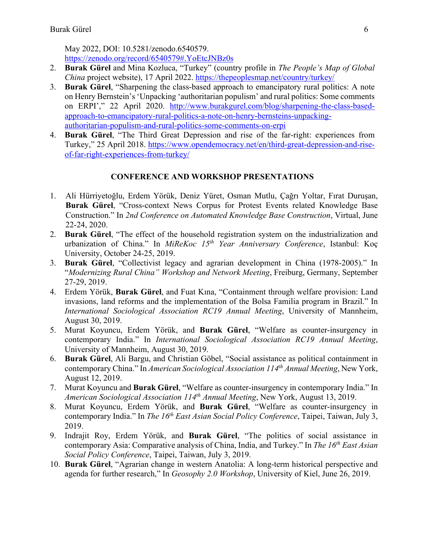May 2022, DOI: 10.5281/zenodo.6540579. https://zenodo.org/record/6540579#.YoEtcJNBz0s

- 2. **Burak Gürel** and Mina Kozluca, "Turkey" (country profile in *The People's Map of Global China* project website), 17 April 2022. https://thepeoplesmap.net/country/turkey/
- 3. **Burak Gürel**, "Sharpening the class-based approach to emancipatory rural politics: A note on Henry Bernstein's 'Unpacking 'authoritarian populism' and rural politics: Some comments on ERPI'," 22 April 2020. http://www.burakgurel.com/blog/sharpening-the-class-basedapproach-to-emancipatory-rural-politics-a-note-on-henry-bernsteins-unpackingauthoritarian-populism-and-rural-politics-some-comments-on-erpi
- 4. **Burak Gürel**, "The Third Great Depression and rise of the far-right: experiences from Turkey," 25 April 2018. https://www.opendemocracy.net/en/third-great-depression-and-riseof-far-right-experiences-from-turkey/

# **CONFERENCE AND WORKSHOP PRESENTATIONS**

- 1. Ali Hürriyetoğlu, Erdem Yörük, Deniz Yüret, Osman Mutlu, Çağrı Yoltar, Fırat Duruşan, **Burak Gürel**, "Cross-context News Corpus for Protest Events related Knowledge Base Construction." In *2nd Conference on Automated Knowledge Base Construction*, Virtual, June 22-24, 2020.
- 2. **Burak Gürel**, "The effect of the household registration system on the industrialization and urbanization of China." In *MiReKoc 15th Year Anniversary Conference*, Istanbul: Koç University, October 24-25, 2019.
- 3. **Burak Gürel**, "Collectivist legacy and agrarian development in China (1978-2005)." In "*Modernizing Rural China" Workshop and Network Meeting*, Freiburg, Germany, September 27-29, 2019.
- 4. Erdem Yörük, **Burak Gürel**, and Fuat Kına, "Containment through welfare provision: Land invasions, land reforms and the implementation of the Bolsa Familia program in Brazil." In *International Sociological Association RC19 Annual Meeting*, University of Mannheim, August 30, 2019.
- 5. Murat Koyuncu, Erdem Yörük, and **Burak Gürel**, "Welfare as counter-insurgency in contemporary India." In *International Sociological Association RC19 Annual Meeting*, University of Mannheim, August 30, 2019.
- 6. **Burak Gürel**, Ali Bargu, and Christian Göbel, "Social assistance as political containment in contemporary China." In *American Sociological Association 114th Annual Meeting*, New York, August 12, 2019.
- 7. Murat Koyuncu and **Burak Gürel**, "Welfare as counter-insurgency in contemporary India." In *American Sociological Association 114th Annual Meeting*, New York, August 13, 2019.
- 8. Murat Koyuncu, Erdem Yörük, and **Burak Gürel**, "Welfare as counter-insurgency in contemporary India." In *The 16th East Asian Social Policy Conference*, Taipei, Taiwan, July 3, 2019.
- 9. Indrajit Roy, Erdem Yörük, and **Burak Gürel**, "The politics of social assistance in contemporary Asia: Comparative analysis of China, India, and Turkey." In *The 16th East Asian Social Policy Conference*, Taipei, Taiwan, July 3, 2019.
- 10. **Burak Gürel**, "Agrarian change in western Anatolia: A long-term historical perspective and agenda for further research," In *Geosophy 2.0 Workshop*, University of Kiel, June 26, 2019.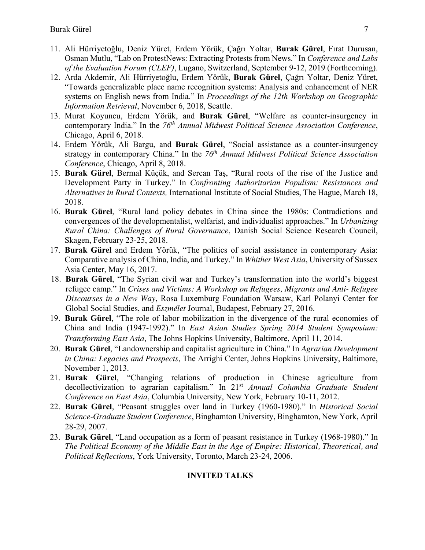- 11. Ali Hürriyetoğlu, Deniz Yüret, Erdem Yörük, Çağrı Yoltar, **Burak Gürel**, Fırat Durusan, Osman Mutlu, "Lab on ProtestNews: Extracting Protests from News." In *Conference and Labs of the Evaluation Forum (CLEF)*, Lugano, Switzerland, September 9-12, 2019 (Forthcoming).
- 12. Arda Akdemir, Ali Hürriyetoğlu, Erdem Yörük, **Burak Gürel**, Çağrı Yoltar, Deniz Yüret, "Towards generalizable place name recognition systems: Analysis and enhancement of NER systems on English news from India." In *Proceedings of the 12th Workshop on Geographic Information Retrieval*, November 6, 2018, Seattle.
- 13. Murat Koyuncu, Erdem Yörük, and **Burak Gürel**, "Welfare as counter-insurgency in contemporary India." In the *76th Annual Midwest Political Science Association Conference*, Chicago, April 6, 2018.
- 14. Erdem Yörük, Ali Bargu, and **Burak Gürel**, "Social assistance as a counter-insurgency strategy in contemporary China." In the 76<sup>th</sup> Annual Midwest Political Science Association *Conference*, Chicago, April 8, 2018.
- 15. **Burak Gürel**, Bermal Küçük, and Sercan Taş, "Rural roots of the rise of the Justice and Development Party in Turkey." In *Confronting Authoritarian Populism: Resistances and Alternatives in Rural Contexts,* International Institute of Social Studies, The Hague, March 18, 2018.
- 16. **Burak Gürel**, "Rural land policy debates in China since the 1980s: Contradictions and convergences of the developmentalist, welfarist, and individualist approaches." In *Urbanizing Rural China: Challenges of Rural Governance*, Danish Social Science Research Council, Skagen, February 23-25, 2018.
- 17. **Burak Gürel** and Erdem Yörük, "The politics of social assistance in contemporary Asia: Comparative analysis of China, India, and Turkey." In *Whither West Asia*, University of Sussex Asia Center, May 16, 2017.
- 18. **Burak Gürel**, "The Syrian civil war and Turkey's transformation into the world's biggest refugee camp." In *Crises and Victims: A Workshop on Refugees, Migrants and Anti- Refugee Discourses in a New Way*, Rosa Luxemburg Foundation Warsaw, Karl Polanyi Center for Global Social Studies, and *Eszmélet* Journal, Budapest, February 27, 2016.
- 19. **Burak Gürel**, "The role of labor mobilization in the divergence of the rural economies of China and India (1947-1992)." In *East Asian Studies Spring 2014 Student Symposium: Transforming East Asia*, The Johns Hopkins University, Baltimore, April 11, 2014.
- 20. **Burak Gürel**, "Landownership and capitalist agriculture in China." In *Agrarian Development in China: Legacies and Prospects*, The Arrighi Center, Johns Hopkins University, Baltimore, November 1, 2013.
- 21. **Burak Gürel**, "Changing relations of production in Chinese agriculture from decollectivization to agrarian capitalism." In 21st *Annual Columbia Graduate Student Conference on East Asia*, Columbia University, New York, February 10-11, 2012.
- 22. **Burak Gürel**, "Peasant struggles over land in Turkey (1960-1980)." In *Historical Social Science-Graduate Student Conference*, Binghamton University, Binghamton, New York, April 28-29, 2007.
- 23. **Burak Gürel**, "Land occupation as a form of peasant resistance in Turkey (1968-1980)." In *The Political Economy of the Middle East in the Age of Empire: Historical, Theoretical, and Political Reflections*, York University, Toronto, March 23-24, 2006.

# **INVITED TALKS**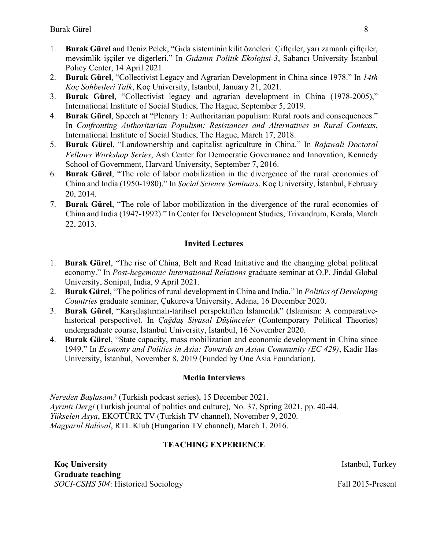- 1. **Burak Gürel** and Deniz Pelek, "Gıda sisteminin kilit özneleri: Çiftçiler, yarı zamanlı çiftçiler, mevsimlik işçiler ve diğerleri." In *Gıdanın Politik Ekolojisi-3*, Sabancı University İstanbul Policy Center, 14 April 2021.
- 2. **Burak Gürel**, "Collectivist Legacy and Agrarian Development in China since 1978." In *14th Koç Sohbetleri Talk*, Koç University, İstanbul, January 21, 2021.
- 3. **Burak Gürel**, "Collectivist legacy and agrarian development in China (1978-2005)," International Institute of Social Studies, The Hague, September 5, 2019.
- 4. **Burak Gürel**, Speech at "Plenary 1: Authoritarian populism: Rural roots and consequences." In *Confronting Authoritarian Populism: Resistances and Alternatives in Rural Contexts*, International Institute of Social Studies, The Hague, March 17, 2018.
- 5. **Burak Gürel**, "Landownership and capitalist agriculture in China." In *Rajawali Doctoral Fellows Workshop Series*, Ash Center for Democratic Governance and Innovation, Kennedy School of Government, Harvard University, September 7, 2016.
- 6. **Burak Gürel**, "The role of labor mobilization in the divergence of the rural economies of China and India (1950-1980)." In *Social Science Seminars*, Koç University, İstanbul, February 20, 2014.
- 7. **Burak Gürel**, "The role of labor mobilization in the divergence of the rural economies of China and India (1947-1992)." In Center for Development Studies, Trivandrum, Kerala, March 22, 2013.

# **Invited Lectures**

- 1. **Burak Gürel**, "The rise of China, Belt and Road Initiative and the changing global political economy." In *Post-hegemonic International Relations* graduate seminar at O.P. Jindal Global University, Sonipat, India, 9 April 2021.
- 2. **Burak Gürel**, "The politics of rural development in China and India." In *Politics of Developing Countries* graduate seminar, Çukurova University, Adana, 16 December 2020.
- 3. **Burak Gürel**, "Karşılaştırmalı-tarihsel perspektiften İslamcılık" (Islamism: A comparativehistorical perspective). In *Çağdaş Siyasal Düşünceler* (Contemporary Political Theories) undergraduate course, İstanbul University, İstanbul, 16 November 2020.
- 4. **Burak Gürel**, "State capacity, mass mobilization and economic development in China since 1949." In *Economy and Politics in Asia: Towards an Asian Community (EC 429)*, Kadir Has University, İstanbul, November 8, 2019 (Funded by One Asia Foundation).

# **Media Interviews**

*Nereden Başlasam?* (Turkish podcast series), 15 December 2021. *Ayrıntı Dergi* (Turkish journal of politics and culture)*,* No. 37, Spring 2021, pp. 40-44. *Yükselen Asya*, EKOTÜRK TV (Turkish TV channel), November 9, 2020. *Magyarul Balóval*, RTL Klub (Hungarian TV channel), March 1, 2016.

# **TEACHING EXPERIENCE**

**Koc University Istanbul, Turkey Istanbul, Turkey Graduate teaching**  *SOCI-CSHS 504*: Historical Sociology Fall 2015-Present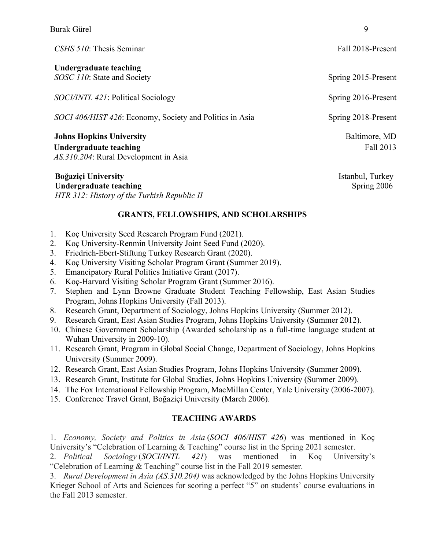| CSHS 510: Thesis Seminar                                                                           | Fall 2018-Present          |
|----------------------------------------------------------------------------------------------------|----------------------------|
| Undergraduate teaching<br>SOSC 110: State and Society                                              | Spring 2015-Present        |
| <i>SOCI/INTL 421</i> : Political Sociology                                                         | Spring 2016-Present        |
| SOCI 406/HIST 426: Economy, Society and Politics in Asia                                           | Spring 2018-Present        |
| <b>Johns Hopkins University</b><br>Undergraduate teaching<br>AS.310.204: Rural Development in Asia | Baltimore, MD<br>Fall 2013 |
| <b>Boğaziçi University</b>                                                                         | Istanbul, Turkey           |

**Undergraduate teaching**  Spring 2006 *HTR 312: History of the Turkish Republic II* 

# **GRANTS, FELLOWSHIPS, AND SCHOLARSHIPS**

- 1. Koç University Seed Research Program Fund (2021).
- 2. Koç University-Renmin University Joint Seed Fund (2020).
- 3. Friedrich-Ebert-Stiftung Turkey Research Grant (2020).
- 4. Koç University Visiting Scholar Program Grant (Summer 2019).
- 5. Emancipatory Rural Politics Initiative Grant (2017).
- 6. Koç-Harvard Visiting Scholar Program Grant (Summer 2016).
- 7. Stephen and Lynn Browne Graduate Student Teaching Fellowship, East Asian Studies Program, Johns Hopkins University (Fall 2013).
- 8. Research Grant, Department of Sociology, Johns Hopkins University (Summer 2012).
- 9. Research Grant, East Asian Studies Program, Johns Hopkins University (Summer 2012).
- 10. Chinese Government Scholarship (Awarded scholarship as a full-time language student at Wuhan University in 2009-10).
- 11. Research Grant, Program in Global Social Change, Department of Sociology, Johns Hopkins University (Summer 2009).
- 12. Research Grant, East Asian Studies Program, Johns Hopkins University (Summer 2009).
- 13. Research Grant, Institute for Global Studies, Johns Hopkins University (Summer 2009).
- 14. The Fox International Fellowship Program, MacMillan Center, Yale University (2006-2007).
- 15. Conference Travel Grant, Boğaziçi University (March 2006).

# **TEACHING AWARDS**

1. *Economy, Society and Politics in Asia* (*SOCI 406/HIST 426*) was mentioned in Koç University's "Celebration of Learning & Teaching" course list in the Spring 2021 semester.

2. *Political Sociology* (*SOCI/INTL 421*) was mentioned in Koç University's "Celebration of Learning & Teaching" course list in the Fall 2019 semester.

3. *Rural Development in Asia (AS.310.204)* was acknowledged by the Johns Hopkins University Krieger School of Arts and Sciences for scoring a perfect "5" on students' course evaluations in the Fall 2013 semester.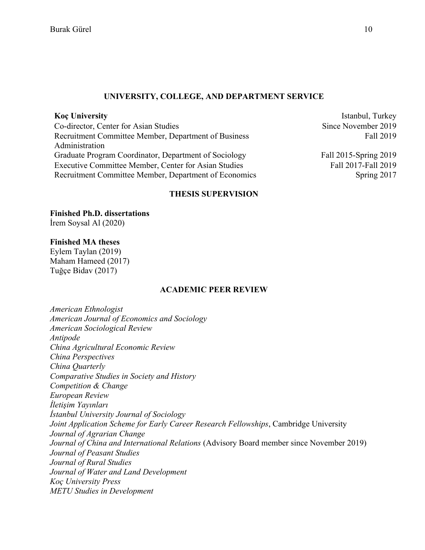#### **UNIVERSITY, COLLEGE, AND DEPARTMENT SERVICE**

Co-director, Center for Asian Studies Since November 2019 Recruitment Committee Member, Department of Business Administration Graduate Program Coordinator, Department of Sociology Fall 2015-Spring 2019 Executive Committee Member, Center for Asian Studies Fall 2017-Fall 2019 Recruitment Committee Member, Department of Economics Spring 2017

**Koç University** Istanbul, Turkey Fall 2019

#### **THESIS SUPERVISION**

**Finished Ph.D. dissertations** İrem Soysal Al (2020)

#### **Finished MA theses**

Eylem Taylan (2019) Maham Hameed (2017) Tuğçe Bidav (2017)

#### **ACADEMIC PEER REVIEW**

*American Ethnologist American Journal of Economics and Sociology American Sociological Review Antipode China Agricultural Economic Review China Perspectives China Quarterly Comparative Studies in Society and History Competition & Change European Review İletişim Yayınları İstanbul University Journal of Sociology Joint Application Scheme for Early Career Research Fellowships*, Cambridge University *Journal of Agrarian Change Journal of China and International Relations* (Advisory Board member since November 2019) *Journal of Peasant Studies Journal of Rural Studies Journal of Water and Land Development Koç University Press METU Studies in Development*